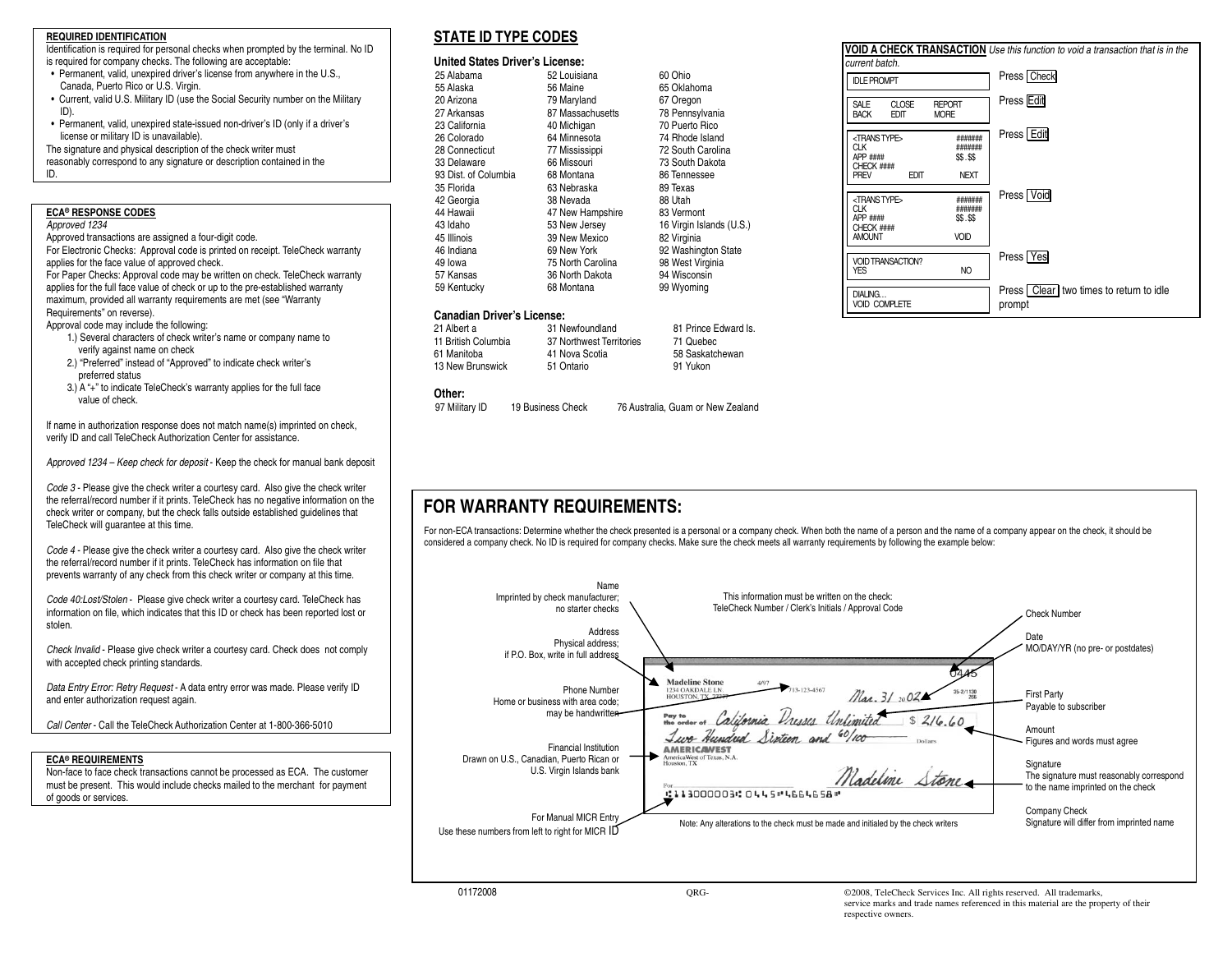#### **REQUIRED IDENTIFICATION**

 Identification is required for personal checks when prompted by the terminal. No ID is required for company checks. The following are acceptable:

- Permanent, valid, unexpired driver's license from anywhere in the U.S., Canada, Puerto Rico or U.S. Virgin.
- Current, valid U.S. Military ID (use the Social Security number on the Military ID).
- Permanent, valid, unexpired state-issued non-driver's ID (only if a driver's license or military ID is unavailable).
- The signature and physical description of the check writer must
- reasonably correspond to any signature or description contained in the

#### ID.

#### **ECA® RESPONSE CODES**

#### Approved 1234

Approved transactions are assigned a four-digit code.

For Electronic Checks: Approval code is printed on receipt. TeleCheck warranty applies for the face value of approved check.

For Paper Checks: Approval code may be written on check. TeleCheck warranty applies for the full face value of check or up to the pre-established warranty maximum, provided all warranty requirements are met (see "Warranty Requirements" on reverse).

Approval code may include the following:

- 1.) Several characters of check writer's name or company name to verify against name on check
- 2.) "Preferred" instead of "Approved" to indicate check writer's preferred status
- 3.) A "+" to indicate TeleCheck's warranty applies for the full face value of check.

If name in authorization response does not match name(s) imprinted on check, verify ID and call TeleCheck Authorization Center for assistance.

Approved 1234 – Keep check for deposit - Keep the check for manual bank deposit

Code 3 - Please give the check writer a courtesy card. Also give the check writer the referral/record number if it prints. TeleCheck has no negative information on the check writer or company, but the check falls outside established guidelines that TeleCheck will guarantee at this time.

Code 4 - Please give the check writer a courtesy card. Also give the check writer the referral/record number if it prints. TeleCheck has information on file that prevents warranty of any check from this check writer or company at this time.

Code 40:Lost/Stolen - Please give check writer a courtesy card. TeleCheck has information on file, which indicates that this ID or check has been reported lost or stolen.

Check Invalid - Please give check writer a courtesy card. Check does not comply with accepted check printing standards.

Data Entry Error: Retry Request - A data entry error was made. Please verify ID and enter authorization request again.

Call Center - Call the TeleCheck Authorization Center at 1-800-366-5010

#### **ECA® REQUIREMENTS**

 Non-face to face check transactions cannot be processed as ECA. The customer must be present. This would include checks mailed to the merchant for payment of goods or services.

### **STATE ID TYPE CODES**

#### **United States Driver's License:**

| 25 Alabama           | 52 Louisiana      | 60 Ohio                  |
|----------------------|-------------------|--------------------------|
| 55 Alaska            | 56 Maine          | 65 Oklahoma              |
| 20 Arizona           | 79 Maryland       | 67 Oregon                |
| 27 Arkansas          | 87 Massachusetts  | 78 Pennsylvania          |
| 23 California        | 40 Michigan       | 70 Puerto Rico           |
| 26 Colorado          | 64 Minnesota      | 74 Rhode Island          |
| 28 Connecticut       | 77 Mississippi    | 72 South Carolina        |
| 33 Delaware          | 66 Missouri       | 73 South Dakota          |
| 93 Dist. of Columbia | 68 Montana        | 86 Tennessee             |
| 35 Florida           | 63 Nebraska       | 89 Texas                 |
| 42 Georgia           | 38 Nevada         | 88 Utah                  |
| 44 Hawaii            | 47 New Hampshire  | 83 Vermont               |
| 43 Idaho             | 53 New Jersev     | 16 Virgin Islands (U.S.) |
| 45 Illinois          | 39 New Mexico     | 82 Virginia              |
| 46 Indiana           | 69 New York       | 92 Washington State      |
| 49 lowa              | 75 North Carolina | 98 West Virginia         |
| 57 Kansas            | 36 North Dakota   | 94 Wisconsin             |
| 59 Kentucky          | 68 Montana        | 99 Wyoming               |

#### **Canadian Driver's License:**

| 58 Saskatchewan |
|-----------------|
|                 |
|                 |

#### **Other:**

97 Military ID 19 Business Check 76 Australia, Guam or New Zealand



## **FOR WARRANTY REQUIREMENTS:**

For non-ECA transactions: Determine whether the check presented is a personal or a company check. When both the name of a person and the name of a company appear on the check, it should be considered a company check. No ID is required for company checks. Make sure the check meets all warranty requirements by following the example below: